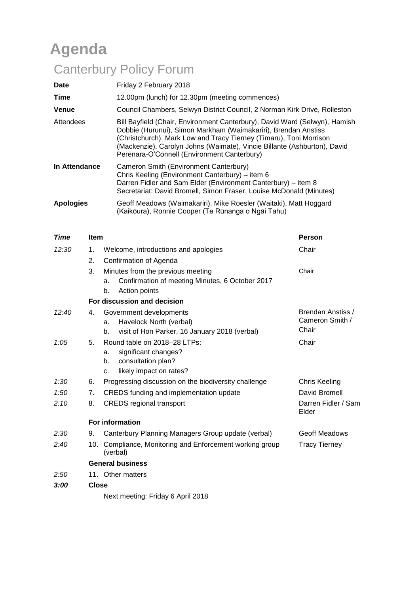# **Agenda**

# Canterbury Policy Forum

| <b>Date</b>      | Friday 2 February 2018                                                                                                                                                                                                                                                                                                                        |
|------------------|-----------------------------------------------------------------------------------------------------------------------------------------------------------------------------------------------------------------------------------------------------------------------------------------------------------------------------------------------|
| Time             | 12.00pm (lunch) for 12.30pm (meeting commences)                                                                                                                                                                                                                                                                                               |
| <b>Venue</b>     | Council Chambers, Selwyn District Council, 2 Norman Kirk Drive, Rolleston                                                                                                                                                                                                                                                                     |
| Attendees        | Bill Bayfield (Chair, Environment Canterbury), David Ward (Selwyn), Hamish<br>Dobbie (Hurunui), Simon Markham (Waimakariri), Brendan Anstiss<br>(Christchurch), Mark Low and Tracy Tierney (Timaru), Toni Morrison<br>(Mackenzie), Carolyn Johns (Waimate), Vincie Billante (Ashburton), David<br>Perenara-O'Connell (Environment Canterbury) |
| In Attendance    | Cameron Smith (Environment Canterbury)<br>Chris Keeling (Environment Canterbury) – item 6<br>Darren Fidler and Sam Elder (Environment Canterbury) – item 8<br>Secretariat: David Bromell, Simon Fraser, Louise McDonald (Minutes)                                                                                                             |
| <b>Apologies</b> | Geoff Meadows (Waimakariri), Mike Roesler (Waitaki), Matt Hoggard<br>(Kaikōura), Ronnie Cooper (Te Rūnanga o Ngāi Tahu)                                                                                                                                                                                                                       |

| <b>Time</b> | <b>Item</b>  |                                                                                                                         | <b>Person</b>                                 |
|-------------|--------------|-------------------------------------------------------------------------------------------------------------------------|-----------------------------------------------|
| 12:30       | 1.           | Welcome, introductions and apologies                                                                                    | Chair                                         |
|             | 2.           | Confirmation of Agenda                                                                                                  |                                               |
|             | 3.           | Minutes from the previous meeting<br>Confirmation of meeting Minutes, 6 October 2017<br>a.<br>Action points<br>b.       | Chair                                         |
|             |              | For discussion and decision                                                                                             |                                               |
| 12:40       | 4.           | Government developments<br>Havelock North (verbal)<br>a.<br>visit of Hon Parker, 16 January 2018 (verbal)<br>b.         | Brendan Anstiss /<br>Cameron Smith /<br>Chair |
| 1:05        | 5.           | Round table on 2018-28 LTPs:<br>significant changes?<br>a.<br>consultation plan?<br>b.<br>likely impact on rates?<br>c. | Chair                                         |
| 1:30        | 6.           | Progressing discussion on the biodiversity challenge                                                                    | <b>Chris Keeling</b>                          |
| 1:50        | 7.           | CREDS funding and implementation update                                                                                 | David Bromell                                 |
| 2:10        | 8.           | <b>CREDS</b> regional transport                                                                                         | Darren Fidler / Sam<br>Elder                  |
|             |              | <b>For information</b>                                                                                                  |                                               |
| 2:30        | 9.           | Canterbury Planning Managers Group update (verbal)                                                                      | <b>Geoff Meadows</b>                          |
| 2:40        |              | 10. Compliance, Monitoring and Enforcement working group<br>(verbal)                                                    | <b>Tracy Tierney</b>                          |
|             |              | <b>General business</b>                                                                                                 |                                               |
| 2:50        |              | 11. Other matters                                                                                                       |                                               |
| 3:00        | <b>Close</b> |                                                                                                                         |                                               |
|             |              | Nlayt maating: Friday 6 April 2018                                                                                      |                                               |

Next meeting: Friday 6 April 2018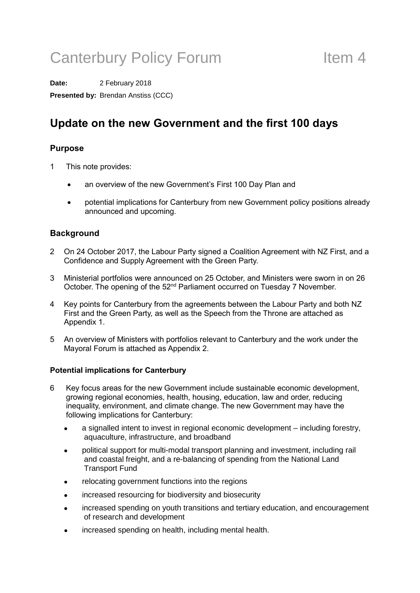# Canterbury Policy Forum Theorem 1

**Date:** 2 February 2018 **Presented by:** Brendan Anstiss (CCC)

### **Update on the new Government and the first 100 days**

#### **Purpose**

- 1 This note provides:
	- an overview of the new Government's First 100 Day Plan and
	- potential implications for Canterbury from new Government policy positions already announced and upcoming.

#### **Background**

- 2 On 24 October 2017, the Labour Party signed a Coalition Agreement with NZ First, and a Confidence and Supply Agreement with the Green Party.
- 3 Ministerial portfolios were announced on 25 October, and Ministers were sworn in on 26 October. The opening of the 52<sup>nd</sup> Parliament occurred on Tuesday 7 November.
- 4 Key points for Canterbury from the agreements between the Labour Party and both NZ First and the Green Party, as well as the Speech from the Throne are attached as Appendix 1.
- 5 An overview of Ministers with portfolios relevant to Canterbury and the work under the Mayoral Forum is attached as Appendix 2.

#### **Potential implications for Canterbury**

- 6 Key focus areas for the new Government include sustainable economic development, growing regional economies, health, housing, education, law and order, reducing inequality, environment, and climate change. The new Government may have the following implications for Canterbury:
	- a signalled intent to invest in regional economic development including forestry, aquaculture, infrastructure, and broadband
	- political support for multi-modal transport planning and investment, including rail and coastal freight, and a re-balancing of spending from the National Land Transport Fund
	- relocating government functions into the regions
	- increased resourcing for biodiversity and biosecurity
	- increased spending on youth transitions and tertiary education, and encouragement of research and development
	- increased spending on health, including mental health.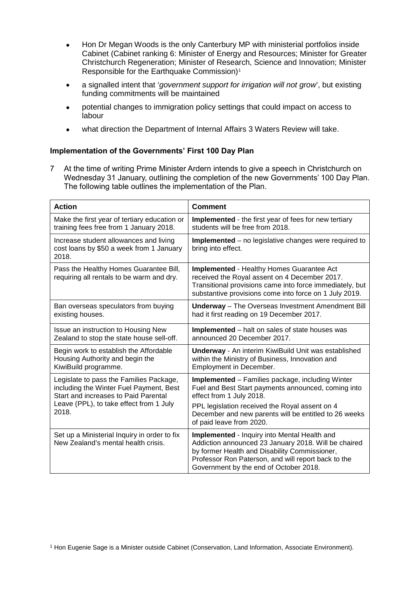- Hon Dr Megan Woods is the only Canterbury MP with ministerial portfolios inside Cabinet (Cabinet ranking 6: Minister of Energy and Resources; Minister for Greater Christchurch Regeneration; Minister of Research, Science and Innovation; Minister Responsible for the Earthquake Commission)<sup>[1](#page-2-0)</sup>
- a signalled intent that '*government support for irrigation will not grow*', but existing funding commitments will be maintained
- potential changes to immigration policy settings that could impact on access to labour
- what direction the Department of Internal Affairs 3 Waters Review will take.

#### **Implementation of the Governments' First 100 Day Plan**

7 At the time of writing Prime Minister Ardern intends to give a speech in Christchurch on Wednesday 31 January, outlining the completion of the new Governments' 100 Day Plan. The following table outlines the implementation of the Plan.

| <b>Action</b>                                                                               | <b>Comment</b>                                                                                                                                                                                                                                         |
|---------------------------------------------------------------------------------------------|--------------------------------------------------------------------------------------------------------------------------------------------------------------------------------------------------------------------------------------------------------|
| Make the first year of tertiary education or                                                | <b>Implemented</b> - the first year of fees for new tertiary                                                                                                                                                                                           |
| training fees free from 1 January 2018.                                                     | students will be free from 2018.                                                                                                                                                                                                                       |
| Increase student allowances and living<br>cost loans by \$50 a week from 1 January<br>2018. | Implemented – no legislative changes were required to<br>bring into effect.                                                                                                                                                                            |
| Pass the Healthy Homes Guarantee Bill,<br>requiring all rentals to be warm and dry.         | <b>Implemented - Healthy Homes Guarantee Act</b><br>received the Royal assent on 4 December 2017.<br>Transitional provisions came into force immediately, but<br>substantive provisions come into force on 1 July 2019.                                |
| Ban overseas speculators from buying                                                        | <b>Underway</b> - The Overseas Investment Amendment Bill                                                                                                                                                                                               |
| existing houses.                                                                            | had it first reading on 19 December 2017.                                                                                                                                                                                                              |
| Issue an instruction to Housing New                                                         | <b>Implemented</b> – halt on sales of state houses was                                                                                                                                                                                                 |
| Zealand to stop the state house sell-off.                                                   | announced 20 December 2017.                                                                                                                                                                                                                            |
| Begin work to establish the Affordable                                                      | <b>Underway</b> - An interim KiwiBuild Unit was established                                                                                                                                                                                            |
| Housing Authority and begin the                                                             | within the Ministry of Business, Innovation and                                                                                                                                                                                                        |
| KiwiBuild programme.                                                                        | Employment in December.                                                                                                                                                                                                                                |
| Legislate to pass the Families Package,                                                     | <b>Implemented</b> – Families package, including Winter                                                                                                                                                                                                |
| including the Winter Fuel Payment, Best                                                     | Fuel and Best Start payments announced, coming into                                                                                                                                                                                                    |
| Start and increases to Paid Parental                                                        | effect from 1 July 2018.                                                                                                                                                                                                                               |
| Leave (PPL), to take effect from 1 July<br>2018.                                            | PPL legislation received the Royal assent on 4<br>December and new parents will be entitled to 26 weeks<br>of paid leave from 2020.                                                                                                                    |
| Set up a Ministerial Inquiry in order to fix<br>New Zealand's mental health crisis.         | Implemented - Inquiry into Mental Health and<br>Addiction announced 23 January 2018. Will be chaired<br>by former Health and Disability Commissioner,<br>Professor Ron Paterson, and will report back to the<br>Government by the end of October 2018. |

<span id="page-2-0"></span><sup>1</sup> Hon Eugenie Sage is a Minister outside Cabinet (Conservation, Land Information, Associate Environment).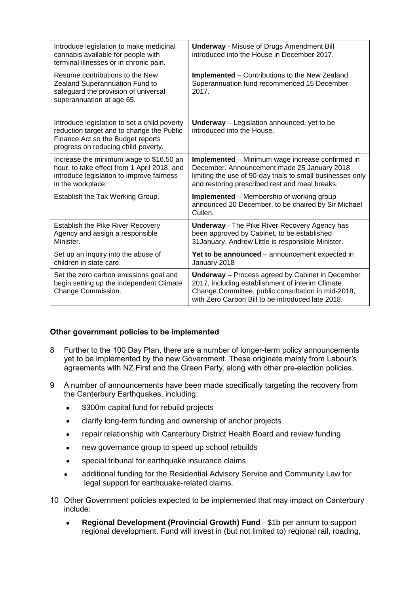| Introduce legislation to make medicinal<br>cannabis available for people with<br>terminal illnesses or in chronic pain.                                               | <b>Underway - Misuse of Drugs Amendment Bill</b><br>introduced into the House in December 2017.                                                                                                                        |
|-----------------------------------------------------------------------------------------------------------------------------------------------------------------------|------------------------------------------------------------------------------------------------------------------------------------------------------------------------------------------------------------------------|
| Resume contributions to the New<br>Zealand Superannuation Fund to<br>safeguard the provision of universal<br>superannuation at age 65.                                | <b>Implemented</b> – Contributions to the New Zealand<br>Superannuation fund recommenced 15 December<br>2017.                                                                                                          |
| Introduce legislation to set a child poverty<br>reduction target and to change the Public<br>Finance Act so the Budget reports<br>progress on reducing child poverty. | <b>Underway</b> - Legislation announced, yet to be<br>introduced into the House.                                                                                                                                       |
| Increase the minimum wage to \$16.50 an<br>hour, to take effect from 1 April 2018, and<br>introduce legislation to improve fairness<br>in the workplace.              | Implemented - Minimum wage increase confirmed in<br>December. Announcement made 25 January 2018<br>limiting the use of 90-day trials to small businesses only<br>and restoring prescribed rest and meal breaks.        |
| Establish the Tax Working Group.                                                                                                                                      | <b>Implemented</b> – Membership of working group<br>announced 20 December, to be chaired by Sir Michael<br>Cullen.                                                                                                     |
| <b>Establish the Pike River Recovery</b><br>Agency and assign a responsible<br>Minister.                                                                              | <b>Underway</b> - The Pike River Recovery Agency has<br>been approved by Cabinet, to be established<br>31 January. Andrew Little is responsible Minister.                                                              |
| Set up an inquiry into the abuse of<br>children in state care.                                                                                                        | Yet to be announced - announcement expected in<br>January 2018                                                                                                                                                         |
| Set the zero carbon emissions goal and<br>begin setting up the independent Climate<br>Change Commission.                                                              | <b>Underway</b> - Process agreed by Cabinet in December<br>2017, including establishment of interim Climate<br>Change Committee, public consultation in mid-2018,<br>with Zero Carbon Bill to be introduced late 2018. |

#### **Other government policies to be implemented**

- 8 Further to the 100 Day Plan, there are a number of longer-term policy announcements yet to be implemented by the new Government. These originate mainly from Labour's agreements with NZ First and the Green Party, along with other pre-election policies.
- 9 A number of announcements have been made specifically targeting the recovery from the Canterbury Earthquakes, including:
	- \$300m capital fund for rebuild projects
	- clarify long-term funding and ownership of anchor projects
	- repair relationship with Canterbury District Health Board and review funding
	- new governance group to speed up school rebuilds
	- special tribunal for earthquake insurance claims
	- additional funding for the Residential Advisory Service and Community Law for legal support for earthquake-related claims.
- 10 Other Government policies expected to be implemented that may impact on Canterbury include:
	- **Regional Development (Provincial Growth) Fund** \$1b per annum to support regional development. Fund will invest in (but not limited to) regional rail, roading,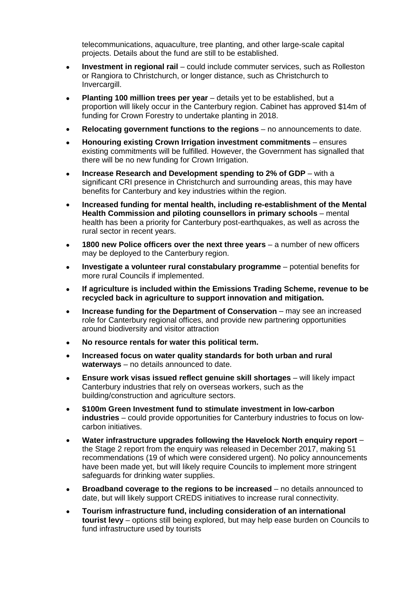telecommunications, aquaculture, tree planting, and other large-scale capital projects. Details about the fund are still to be established.

- **Investment in regional rail** could include commuter services, such as Rolleston or Rangiora to Christchurch, or longer distance, such as Christchurch to Invercargill.
- **Planting 100 million trees per year** details yet to be established, but a proportion will likely occur in the Canterbury region. Cabinet has approved \$14m of funding for Crown Forestry to undertake planting in 2018.
- **Relocating government functions to the regions** no announcements to date.
- **Honouring existing Crown Irrigation investment commitments** ensures existing commitments will be fulfilled. However, the Government has signalled that there will be no new funding for Crown Irrigation.
- **Increase Research and Development spending to 2% of GDP** with a significant CRI presence in Christchurch and surrounding areas, this may have benefits for Canterbury and key industries within the region.
- **Increased funding for mental health, including re-establishment of the Mental Health Commission and piloting counsellors in primary schools** – mental health has been a priority for Canterbury post-earthquakes, as well as across the rural sector in recent years.
- **1800 new Police officers over the next three years** a number of new officers may be deployed to the Canterbury region.
- **Investigate a volunteer rural constabulary programme** potential benefits for more rural Councils if implemented.
- **If agriculture is included within the Emissions Trading Scheme, revenue to be recycled back in agriculture to support innovation and mitigation.**
- **Increase funding for the Department of Conservation** may see an increased role for Canterbury regional offices, and provide new partnering opportunities around biodiversity and visitor attraction
- **No resource rentals for water this political term.**
- **Increased focus on water quality standards for both urban and rural waterways** – no details announced to date.
- **Ensure work visas issued reflect genuine skill shortages** will likely impact Canterbury industries that rely on overseas workers, such as the building/construction and agriculture sectors.
- **\$100m Green Investment fund to stimulate investment in low-carbon industries** – could provide opportunities for Canterbury industries to focus on lowcarbon initiatives.
- **Water infrastructure upgrades following the Havelock North enquiry report** the Stage 2 report from the enquiry was released in December 2017, making 51 recommendations (19 of which were considered urgent). No policy announcements have been made yet, but will likely require Councils to implement more stringent safeguards for drinking water supplies.
- **Broadband coverage to the regions to be increased** no details announced to date, but will likely support CREDS initiatives to increase rural connectivity.
- **Tourism infrastructure fund, including consideration of an international tourist levy** – options still being explored, but may help ease burden on Councils to fund infrastructure used by tourists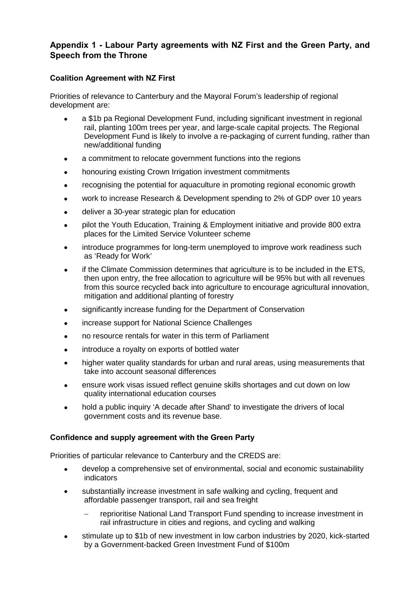### **Appendix 1 - Labour Party agreements with NZ First and the Green Party, and Speech from the Throne**

#### **Coalition Agreement with NZ First**

Priorities of relevance to Canterbury and the Mayoral Forum's leadership of regional development are:

- a \$1b pa Regional Development Fund, including significant investment in regional rail, planting 100m trees per year, and large-scale capital projects. The Regional Development Fund is likely to involve a re-packaging of current funding, rather than new/additional funding
- a commitment to relocate government functions into the regions
- honouring existing Crown Irrigation investment commitments
- recognising the potential for aquaculture in promoting regional economic growth
- work to increase Research & Development spending to 2% of GDP over 10 years
- deliver a 30-year strategic plan for education
- pilot the Youth Education, Training & Employment initiative and provide 800 extra places for the Limited Service Volunteer scheme
- introduce programmes for long-term unemployed to improve work readiness such as 'Ready for Work'
- if the Climate Commission determines that agriculture is to be included in the ETS, then upon entry, the free allocation to agriculture will be 95% but with all revenues from this source recycled back into agriculture to encourage agricultural innovation, mitigation and additional planting of forestry
- significantly increase funding for the Department of Conservation
- increase support for National Science Challenges
- no resource rentals for water in this term of Parliament
- introduce a royalty on exports of bottled water
- higher water quality standards for urban and rural areas, using measurements that take into account seasonal differences
- ensure work visas issued reflect genuine skills shortages and cut down on low quality international education courses
- hold a public inquiry 'A decade after Shand' to investigate the drivers of local government costs and its revenue base.

#### **Confidence and supply agreement with the Green Party**

Priorities of particular relevance to Canterbury and the CREDS are:

- develop a comprehensive set of environmental, social and economic sustainability indicators
- substantially increase investment in safe walking and cycling, frequent and affordable passenger transport, rail and sea freight
	- − reprioritise National Land Transport Fund spending to increase investment in rail infrastructure in cities and regions, and cycling and walking
- stimulate up to \$1b of new investment in low carbon industries by 2020, kick-started by a Government-backed Green Investment Fund of \$100m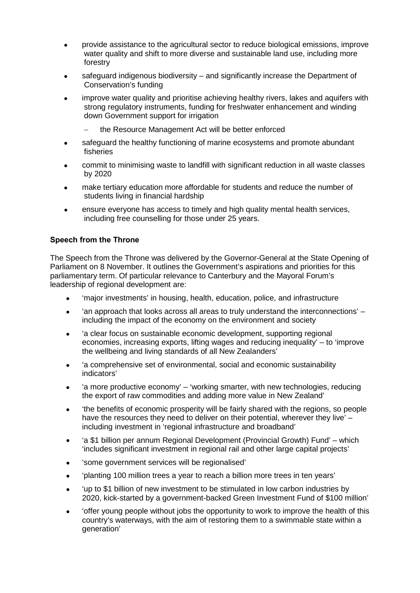- provide assistance to the agricultural sector to reduce biological emissions, improve water quality and shift to more diverse and sustainable land use, including more forestry
- safeguard indigenous biodiversity and significantly increase the Department of Conservation's funding
- improve water quality and prioritise achieving healthy rivers, lakes and aquifers with strong regulatory instruments, funding for freshwater enhancement and winding down Government support for irrigation
	- the Resource Management Act will be better enforced
- safeguard the healthy functioning of marine ecosystems and promote abundant fisheries
- commit to minimising waste to landfill with significant reduction in all waste classes by 2020
- make tertiary education more affordable for students and reduce the number of students living in financial hardship
- ensure everyone has access to timely and high quality mental health services, including free counselling for those under 25 years.

#### **Speech from the Throne**

The Speech from the Throne was delivered by the Governor-General at the State Opening of Parliament on 8 November. It outlines the Government's aspirations and priorities for this parliamentary term. Of particular relevance to Canterbury and the Mayoral Forum's leadership of regional development are:

- 'major investments' in housing, health, education, police, and infrastructure
- 'an approach that looks across all areas to truly understand the interconnections' including the impact of the economy on the environment and society
- 'a clear focus on sustainable economic development, supporting regional economies, increasing exports, lifting wages and reducing inequality' – to 'improve the wellbeing and living standards of all New Zealanders'
- 'a comprehensive set of environmental, social and economic sustainability indicators'
- 'a more productive economy' 'working smarter, with new technologies, reducing the export of raw commodities and adding more value in New Zealand'
- 'the benefits of economic prosperity will be fairly shared with the regions, so people have the resources they need to deliver on their potential, wherever they live' – including investment in 'regional infrastructure and broadband'
- 'a \$1 billion per annum Regional Development (Provincial Growth) Fund' which 'includes significant investment in regional rail and other large capital projects'
- 'some government services will be regionalised'
- 'planting 100 million trees a year to reach a billion more trees in ten years'
- 'up to \$1 billion of new investment to be stimulated in low carbon industries by 2020, kick-started by a government-backed Green Investment Fund of \$100 million'
- 'offer young people without jobs the opportunity to work to improve the health of this country's waterways, with the aim of restoring them to a swimmable state within a generation'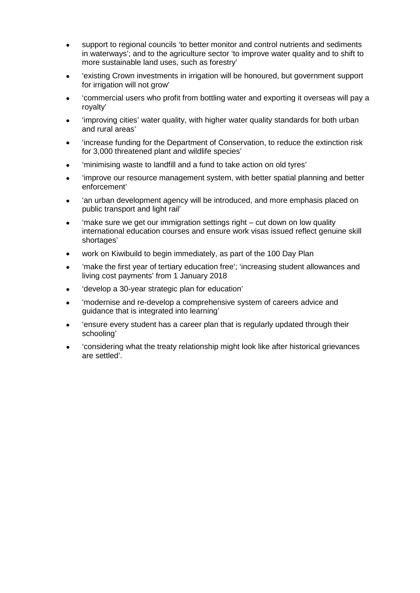- support to regional councils 'to better monitor and control nutrients and sediments in waterways'; and to the agriculture sector 'to improve water quality and to shift to more sustainable land uses, such as forestry'
- 'existing Crown investments in irrigation will be honoured, but government support for irrigation will not grow'
- 'commercial users who profit from bottling water and exporting it overseas will pay a royalty'
- 'improving cities' water quality, with higher water quality standards for both urban and rural areas'
- 'increase funding for the Department of Conservation, to reduce the extinction risk for 3,000 threatened plant and wildlife species'
- 'minimising waste to landfill and a fund to take action on old tyres'
- 'improve our resource management system, with better spatial planning and better enforcement'
- 'an urban development agency will be introduced, and more emphasis placed on public transport and light rail'
- 'make sure we get our immigration settings right cut down on low quality international education courses and ensure work visas issued reflect genuine skill shortages'
- work on Kiwibuild to begin immediately, as part of the 100 Day Plan
- 'make the first year of tertiary education free'; 'increasing student allowances and living cost payments' from 1 January 2018
- 'develop a 30-year strategic plan for education'
- 'modernise and re-develop a comprehensive system of careers advice and guidance that is integrated into learning'
- 'ensure every student has a career plan that is regularly updated through their schooling'
- 'considering what the treaty relationship might look like after historical grievances are settled'.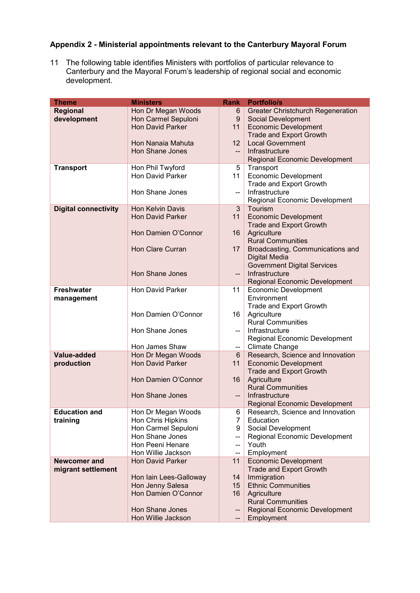### **Appendix 2 - Ministerial appointments relevant to the Canterbury Mayoral Forum**

11 The following table identifies Ministers with portfolios of particular relevance to Canterbury and the Mayoral Forum's leadership of regional social and economic development.

| <b>Theme</b>                | <b>Ministers</b>        | <b>Rank</b>    | <b>Portfolio/s</b>                       |
|-----------------------------|-------------------------|----------------|------------------------------------------|
| Regional                    | Hon Dr Megan Woods      | 6              | <b>Greater Christchurch Regeneration</b> |
| development                 | Hon Carmel Sepuloni     | 9              | <b>Social Development</b>                |
|                             | <b>Hon David Parker</b> | 11             | <b>Economic Development</b>              |
|                             |                         |                | <b>Trade and Export Growth</b>           |
|                             | Hon Nanaia Mahuta       | 12             | <b>Local Government</b>                  |
|                             | Hon Shane Jones         | $--$           | Infrastructure                           |
|                             |                         |                | <b>Regional Economic Development</b>     |
| <b>Transport</b>            | Hon Phil Twyford        | 5              | Transport                                |
|                             | Hon David Parker        | 11             | <b>Economic Development</b>              |
|                             |                         |                | Trade and Export Growth                  |
|                             | Hon Shane Jones         | --             | Infrastructure                           |
|                             |                         |                | Regional Economic Development            |
| <b>Digital connectivity</b> | Hon Kelvin Davis        | 3              | Tourism                                  |
|                             | <b>Hon David Parker</b> | 11             | <b>Economic Development</b>              |
|                             |                         |                | <b>Trade and Export Growth</b>           |
|                             | Hon Damien O'Connor     | 16             | Agriculture                              |
|                             |                         |                | <b>Rural Communities</b>                 |
|                             | <b>Hon Clare Curran</b> | 17             | Broadcasting, Communications and         |
|                             |                         |                | <b>Digital Media</b>                     |
|                             |                         |                | <b>Government Digital Services</b>       |
|                             | <b>Hon Shane Jones</b>  | --             | Infrastructure                           |
|                             |                         |                | Regional Economic Development            |
| <b>Freshwater</b>           | <b>Hon David Parker</b> | 11             | <b>Economic Development</b>              |
| management                  |                         |                | Environment                              |
|                             |                         |                | Trade and Export Growth                  |
|                             | Hon Damien O'Connor     | 16             | Agriculture                              |
|                             |                         |                | <b>Rural Communities</b>                 |
|                             | Hon Shane Jones         | --             | Infrastructure                           |
|                             |                         |                | Regional Economic Development            |
|                             | Hon James Shaw          | --             | <b>Climate Change</b>                    |
| Value-added                 | Hon Dr Megan Woods      | 6              | Research, Science and Innovation         |
| production                  | <b>Hon David Parker</b> | 11             | <b>Economic Development</b>              |
|                             |                         |                | <b>Trade and Export Growth</b>           |
|                             | Hon Damien O'Connor     | 16             | Agriculture<br><b>Rural Communities</b>  |
|                             | <b>Hon Shane Jones</b>  | $-$            | Infrastructure                           |
|                             |                         |                | <b>Regional Economic Development</b>     |
| <b>Education and</b>        | Hon Dr Megan Woods      | 6              | Research, Science and Innovation         |
| training                    | Hon Chris Hipkins       | $\overline{7}$ | Education                                |
|                             | Hon Carmel Sepuloni     | 9              | Social Development                       |
|                             | Hon Shane Jones         | --             | Regional Economic Development            |
|                             | Hon Peeni Henare        | --             | Youth                                    |
|                             | Hon Willie Jackson      | --             | Employment                               |
| <b>Newcomer and</b>         | <b>Hon David Parker</b> | 11             | <b>Economic Development</b>              |
| migrant settlement          |                         |                | <b>Trade and Export Growth</b>           |
|                             | Hon Iain Lees-Galloway  | 14             | Immigration                              |
|                             | Hon Jenny Salesa        | 15             | <b>Ethnic Communities</b>                |
|                             | Hon Damien O'Connor     | 16             | Agriculture                              |
|                             |                         |                | <b>Rural Communities</b>                 |
|                             | Hon Shane Jones         | --             | Regional Economic Development            |
|                             | Hon Willie Jackson      |                | Employment                               |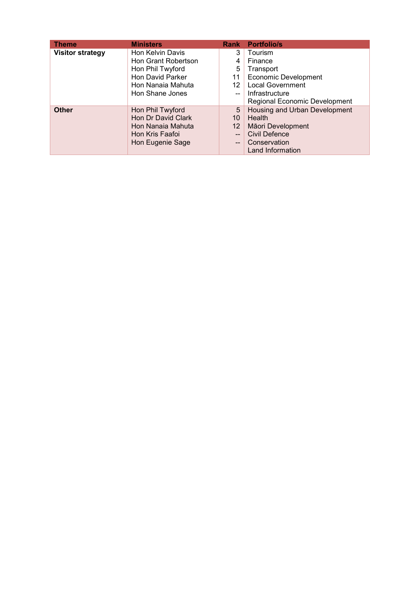| <b>Theme</b>            | <b>Ministers</b>    | <b>Rank</b>     | <b>Portfolio/s</b>            |
|-------------------------|---------------------|-----------------|-------------------------------|
| <b>Visitor strategy</b> | Hon Kelvin Davis    | 3               | Tourism                       |
|                         | Hon Grant Robertson | 4               | Finance                       |
|                         | Hon Phil Twyford    | 5               | Transport                     |
|                         | Hon David Parker    | 11              | <b>Economic Development</b>   |
|                         | Hon Nanaia Mahuta   | 12              | <b>Local Government</b>       |
|                         | Hon Shane Jones     |                 | Infrastructure                |
|                         |                     |                 | Regional Economic Development |
| <b>Other</b>            | Hon Phil Twyford    | 5               | Housing and Urban Development |
|                         | Hon Dr David Clark  | 10              | Health                        |
|                         | Hon Nanaia Mahuta   | 12 <sup>°</sup> | Māori Development             |
|                         | Hon Kris Faafoi     | $\overline{a}$  | <b>Civil Defence</b>          |
|                         | Hon Eugenie Sage    | $--$            | Conservation                  |
|                         |                     |                 | Land Information              |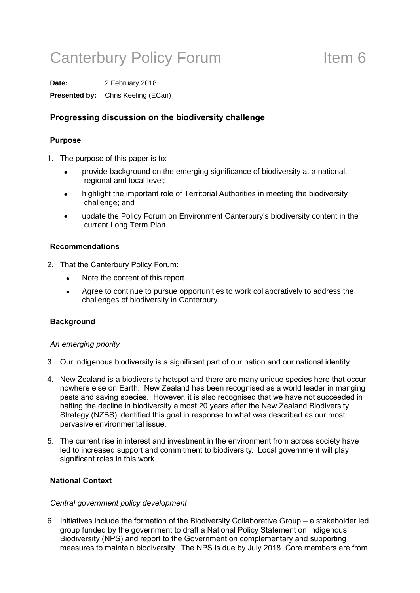# Canterbury Policy Forum Theorem Item 6

**Date:** 2 February 2018 **Presented by:** Chris Keeling (ECan)

### **Progressing discussion on the biodiversity challenge**

#### **Purpose**

- 1. The purpose of this paper is to:
	- provide background on the emerging significance of biodiversity at a national, regional and local level;
	- highlight the important role of Territorial Authorities in meeting the biodiversity challenge; and
	- update the Policy Forum on Environment Canterbury's biodiversity content in the current Long Term Plan.

#### **Recommendations**

- 2. That the Canterbury Policy Forum:
	- Note the content of this report.
	- Agree to continue to pursue opportunities to work collaboratively to address the challenges of biodiversity in Canterbury.

#### **Background**

#### *An emerging priority*

- 3. Our indigenous biodiversity is a significant part of our nation and our national identity.
- 4. New Zealand is a biodiversity hotspot and there are many unique species here that occur nowhere else on Earth. New Zealand has been recognised as a world leader in manging pests and saving species. However, it is also recognised that we have not succeeded in halting the decline in biodiversity almost 20 years after the New Zealand Biodiversity Strategy (NZBS) identified this goal in response to what was described as our most pervasive environmental issue.
- 5. The current rise in interest and investment in the environment from across society have led to increased support and commitment to biodiversity. Local government will play significant roles in this work.

#### **National Context**

#### *Central government policy development*

6. Initiatives include the formation of the Biodiversity Collaborative Group – a stakeholder led group funded by the government to draft a National Policy Statement on Indigenous Biodiversity (NPS) and report to the Government on complementary and supporting measures to maintain biodiversity. The NPS is due by July 2018. Core members are from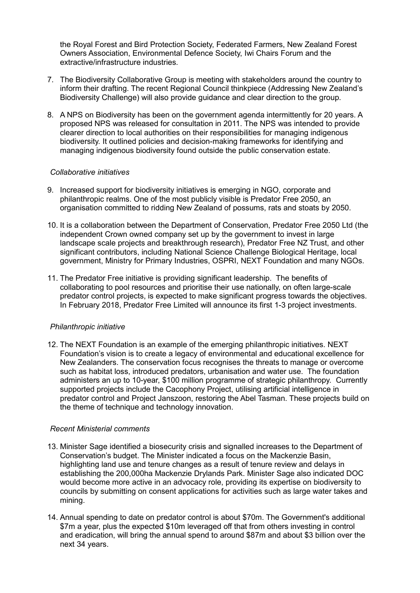the Royal Forest and Bird Protection Society, Federated Farmers, New Zealand Forest Owners Association, Environmental Defence Society, Iwi Chairs Forum and the extractive/infrastructure industries.

- 7. The Biodiversity Collaborative Group is meeting with stakeholders around the country to inform their drafting. The recent Regional Council thinkpiece (Addressing New Zealand's Biodiversity Challenge) will also provide guidance and clear direction to the group.
- 8. A NPS on Biodiversity has been on the government agenda intermittently for 20 years. A proposed NPS was released for consultation in 2011. The NPS was intended to provide clearer direction to local authorities on their responsibilities for managing indigenous biodiversity. It outlined policies and decision-making frameworks for identifying and managing indigenous biodiversity found outside the public conservation estate.

#### *Collaborative initiatives*

- 9. Increased support for biodiversity initiatives is emerging in NGO, corporate and philanthropic realms. One of the most publicly visible is Predator Free 2050, an organisation committed to ridding New Zealand of possums, rats and stoats by 2050.
- 10. It is a collaboration between the Department of Conservation, [Predator Free 2050 Ltd](http://pf2050.co.nz/) (the independent Crown owned company set up by the government to invest in large landscape scale projects and breakthrough research), Predator Free NZ Trust, and other significant contributors, including [National Science Challenge Biological Heritage,](http://www.biologicalheritage.nz/) local government, [Ministry for Primary Industries,](https://www.mpi.govt.nz/) [OSPRI,](https://www.ospri.co.nz/) [NEXT Foundation](http://www.nextfoundation.org.nz/) and many NGOs.
- 11. The Predator Free initiative is providing significant leadership. The benefits of collaborating to pool resources and prioritise their use nationally, on often large-scale predator control projects, is expected to make significant progress towards the objectives. In February 2018, Predator Free Limited will announce its first 1-3 project investments.

#### *Philanthropic initiative*

12. The NEXT Foundation is an example of the emerging philanthropic initiatives. NEXT Foundation's vision is to create a legacy of environmental and educational excellence for New Zealanders. The conservation focus recognises the threats to manage or overcome such as habitat loss, introduced predators, urbanisation and water use. The foundation administers an up to 10-year, \$100 million programme of strategic philanthropy. Currently supported projects include the Cacophony Project, utilising artificial intelligence in predator control and Project Janszoon, restoring the Abel Tasman. These projects build on the theme of technique and technology innovation.

#### *Recent Ministerial comments*

- 13. Minister Sage identified a biosecurity crisis and signalled increases to the Department of Conservation's budget. The Minister indicated a focus on the Mackenzie Basin, highlighting land use and tenure changes as a result of tenure review and delays in establishing the 200,000ha Mackenzie Drylands Park. Minister Sage also indicated DOC would become more active in an advocacy role, providing its expertise on biodiversity to councils by submitting on consent applications for activities such as large water takes and mining.
- 14. Annual spending to date on predator control is about \$70m. The Government's additional \$7m a year, plus the expected \$10m leveraged off that from others investing in control and eradication, will bring the annual spend to around \$87m and about \$3 billion over the next 34 years.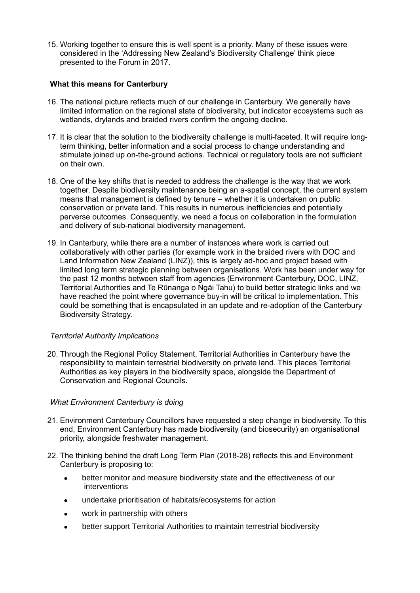15. Working together to ensure this is well spent is a priority. Many of these issues were considered in the 'Addressing New Zealand's Biodiversity Challenge' think piece presented to the Forum in 2017.

#### **What this means for Canterbury**

- 16. The national picture reflects much of our challenge in Canterbury. We generally have limited information on the regional state of biodiversity, but indicator ecosystems such as wetlands, drylands and braided rivers confirm the ongoing decline.
- 17. It is clear that the solution to the biodiversity challenge is multi-faceted. It will require longterm thinking, better information and a social process to change understanding and stimulate joined up on-the-ground actions. Technical or regulatory tools are not sufficient on their own.
- 18. One of the key shifts that is needed to address the challenge is the way that we work together. Despite biodiversity maintenance being an a-spatial concept, the current system means that management is defined by tenure – whether it is undertaken on public conservation or private land. This results in numerous inefficiencies and potentially perverse outcomes. Consequently, we need a focus on collaboration in the formulation and delivery of sub-national biodiversity management.
- 19. In Canterbury, while there are a number of instances where work is carried out collaboratively with other parties (for example work in the braided rivers with DOC and Land Information New Zealand (LINZ)), this is largely ad-hoc and project based with limited long term strategic planning between organisations. Work has been under way for the past 12 months between staff from agencies (Environment Canterbury, DOC, LINZ, Territorial Authorities and Te Rūnanga o Ngāi Tahu) to build better strategic links and we have reached the point where governance buy-in will be critical to implementation. This could be something that is encapsulated in an update and re-adoption of the Canterbury Biodiversity Strategy.

#### *Territorial Authority Implications*

20. Through the Regional Policy Statement, Territorial Authorities in Canterbury have the responsibility to maintain terrestrial biodiversity on private land. This places Territorial Authorities as key players in the biodiversity space, alongside the Department of Conservation and Regional Councils.

#### *What Environment Canterbury is doing*

- 21. Environment Canterbury Councillors have requested a step change in biodiversity. To this end, Environment Canterbury has made biodiversity (and biosecurity) an organisational priority, alongside freshwater management.
- 22. The thinking behind the draft Long Term Plan (2018-28) reflects this and Environment Canterbury is proposing to:
	- better monitor and measure biodiversity state and the effectiveness of our interventions
	- undertake prioritisation of habitats/ecosystems for action
	- work in partnership with others
	- better support Territorial Authorities to maintain terrestrial biodiversity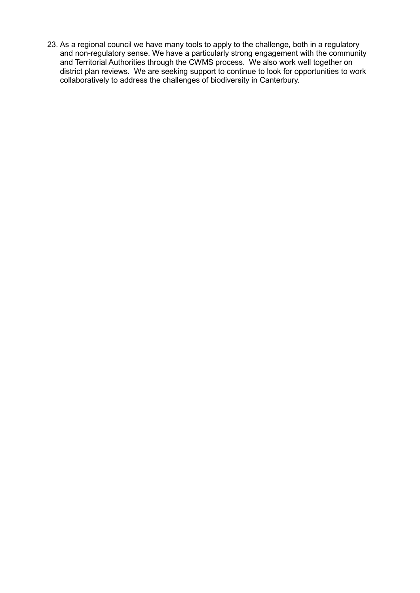23. As a regional council we have many tools to apply to the challenge, both in a regulatory and non-regulatory sense. We have a particularly strong engagement with the community and Territorial Authorities through the CWMS process. We also work well together on district plan reviews. We are seeking support to continue to look for opportunities to work collaboratively to address the challenges of biodiversity in Canterbury.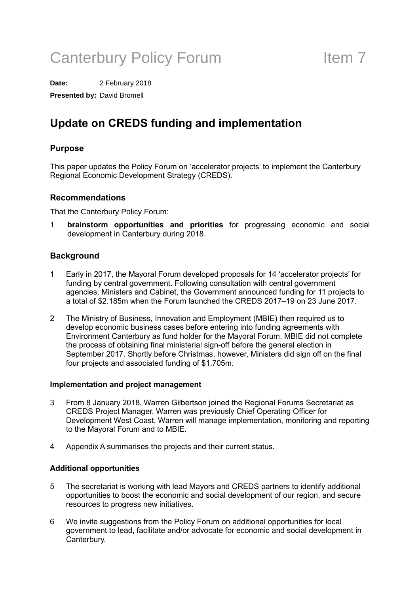# Canterbury Policy Forum Theorem 11

**Date:** 2 February 2018

**Presented by:** David Bromell

## **Update on CREDS funding and implementation**

### **Purpose**

This paper updates the Policy Forum on 'accelerator projects' to implement the Canterbury Regional Economic Development Strategy (CREDS).

#### **Recommendations**

That the Canterbury Policy Forum:

1 **brainstorm opportunities and priorities** for progressing economic and social development in Canterbury during 2018.

### **Background**

- 1 Early in 2017, the Mayoral Forum developed proposals for 14 'accelerator projects' for funding by central government. Following consultation with central government agencies, Ministers and Cabinet, the Government announced funding for 11 projects to a total of \$2.185m when the Forum launched the CREDS 2017–19 on 23 June 2017.
- 2 The Ministry of Business, Innovation and Employment (MBIE) then required us to develop economic business cases before entering into funding agreements with Environment Canterbury as fund holder for the Mayoral Forum. MBIE did not complete the process of obtaining final ministerial sign-off before the general election in September 2017. Shortly before Christmas, however, Ministers did sign off on the final four projects and associated funding of \$1.705m.

#### **Implementation and project management**

- 3 From 8 January 2018, Warren Gilbertson joined the Regional Forums Secretariat as CREDS Project Manager. Warren was previously Chief Operating Officer for Development West Coast. Warren will manage implementation, monitoring and reporting to the Mayoral Forum and to MBIE.
- 4 Appendix A summarises the projects and their current status.

#### **Additional opportunities**

- 5 The secretariat is working with lead Mayors and CREDS partners to identify additional opportunities to boost the economic and social development of our region, and secure resources to progress new initiatives.
- 6 We invite suggestions from the Policy Forum on additional opportunities for local government to lead, facilitate and/or advocate for economic and social development in Canterbury.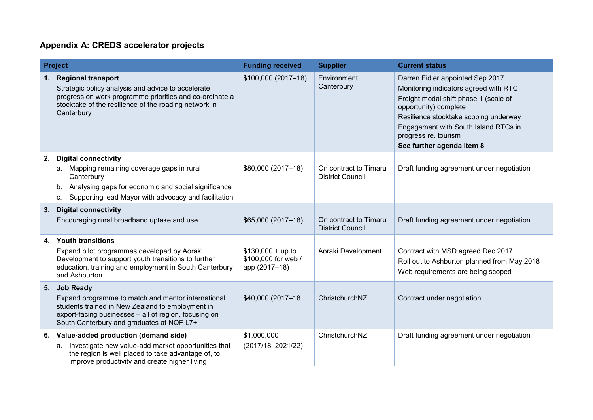### **Appendix A: CREDS accelerator projects**

|    | <b>Project</b>                                                                                                                                                                                                               | <b>Funding received</b>                                    | <b>Supplier</b>                                  | <b>Current status</b>                                                                                                                                                                                                                                                             |
|----|------------------------------------------------------------------------------------------------------------------------------------------------------------------------------------------------------------------------------|------------------------------------------------------------|--------------------------------------------------|-----------------------------------------------------------------------------------------------------------------------------------------------------------------------------------------------------------------------------------------------------------------------------------|
| 1. | <b>Regional transport</b><br>Strategic policy analysis and advice to accelerate<br>progress on work programme priorities and co-ordinate a<br>stocktake of the resilience of the roading network in<br>Canterbury            | \$100,000 (2017-18)                                        | Environment<br>Canterbury                        | Darren Fidler appointed Sep 2017<br>Monitoring indicators agreed with RTC<br>Freight modal shift phase 1 (scale of<br>opportunity) complete<br>Resilience stocktake scoping underway<br>Engagement with South Island RTCs in<br>progress re. tourism<br>See further agenda item 8 |
| 2. | <b>Digital connectivity</b><br>a. Mapping remaining coverage gaps in rural<br>Canterbury<br>Analysing gaps for economic and social significance<br>b.<br>Supporting lead Mayor with advocacy and facilitation<br>C.          | \$80,000 (2017-18)                                         | On contract to Timaru<br><b>District Council</b> | Draft funding agreement under negotiation                                                                                                                                                                                                                                         |
| 3. | <b>Digital connectivity</b><br>Encouraging rural broadband uptake and use                                                                                                                                                    | \$65,000 (2017-18)                                         | On contract to Timaru<br><b>District Council</b> | Draft funding agreement under negotiation                                                                                                                                                                                                                                         |
|    | 4. Youth transitions<br>Expand pilot programmes developed by Aoraki<br>Development to support youth transitions to further<br>education, training and employment in South Canterbury<br>and Ashburton                        | $$130,000 + up to$<br>\$100,000 for web /<br>app (2017-18) | Aoraki Development                               | Contract with MSD agreed Dec 2017<br>Roll out to Ashburton planned from May 2018<br>Web requirements are being scoped                                                                                                                                                             |
|    | 5. Job Ready<br>Expand programme to match and mentor international<br>students trained in New Zealand to employment in<br>export-facing businesses - all of region, focusing on<br>South Canterbury and graduates at NQF L7+ | \$40,000 (2017-18                                          | ChristchurchNZ                                   | Contract under negotiation                                                                                                                                                                                                                                                        |
| 6. | Value-added production (demand side)<br>Investigate new value-add market opportunities that<br>a.<br>the region is well placed to take advantage of, to<br>improve productivity and create higher living                     | \$1,000,000<br>$(2017/18 - 2021/22)$                       | ChristchurchNZ                                   | Draft funding agreement under negotiation                                                                                                                                                                                                                                         |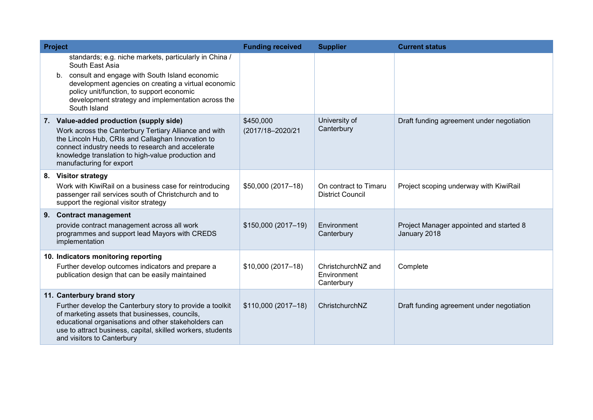| <b>Project</b> |                                                                                                                                                                                                                                                                                                         | <b>Funding received</b>       | <b>Supplier</b>                                  | <b>Current status</b>                                   |
|----------------|---------------------------------------------------------------------------------------------------------------------------------------------------------------------------------------------------------------------------------------------------------------------------------------------------------|-------------------------------|--------------------------------------------------|---------------------------------------------------------|
|                | standards; e.g. niche markets, particularly in China /<br>South East Asia<br>b. consult and engage with South Island economic<br>development agencies on creating a virtual economic<br>policy unit/function, to support economic<br>development strategy and implementation across the<br>South Island |                               |                                                  |                                                         |
|                | 7. Value-added production (supply side)<br>Work across the Canterbury Tertiary Alliance and with<br>the Lincoln Hub, CRIs and Callaghan Innovation to<br>connect industry needs to research and accelerate<br>knowledge translation to high-value production and<br>manufacturing for export            | \$450,000<br>(2017/18-2020/21 | University of<br>Canterbury                      | Draft funding agreement under negotiation               |
|                | 8. Visitor strategy<br>Work with KiwiRail on a business case for reintroducing<br>passenger rail services south of Christchurch and to<br>support the regional visitor strategy                                                                                                                         | \$50,000 (2017-18)            | On contract to Timaru<br><b>District Council</b> | Project scoping underway with KiwiRail                  |
|                | 9. Contract management<br>provide contract management across all work<br>programmes and support lead Mayors with CREDS<br>implementation                                                                                                                                                                | \$150,000 (2017-19)           | Environment<br>Canterbury                        | Project Manager appointed and started 8<br>January 2018 |
|                | 10. Indicators monitoring reporting<br>Further develop outcomes indicators and prepare a<br>publication design that can be easily maintained                                                                                                                                                            | \$10,000 (2017-18)            | ChristchurchNZ and<br>Environment<br>Canterbury  | Complete                                                |
|                | 11. Canterbury brand story<br>Further develop the Canterbury story to provide a toolkit<br>of marketing assets that businesses, councils,<br>educational organisations and other stakeholders can<br>use to attract business, capital, skilled workers, students<br>and visitors to Canterbury          | \$110,000 (2017-18)           | ChristchurchNZ                                   | Draft funding agreement under negotiation               |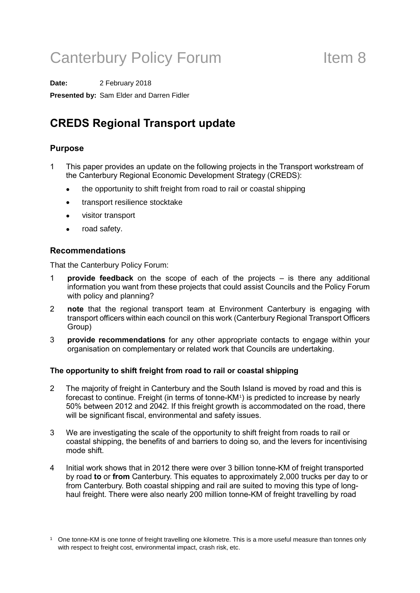# Canterbury Policy Forum Theorem 11 Item 8

**Date:** 2 February 2018 **Presented by:** Sam Elder and Darren Fidler

## **CREDS Regional Transport update**

#### **Purpose**

- 1 This paper provides an update on the following projects in the Transport workstream of the Canterbury Regional Economic Development Strategy (CREDS):
	- the opportunity to shift freight from road to rail or coastal shipping
	- transport resilience stocktake
	- visitor transport
	- road safety.

#### **Recommendations**

That the Canterbury Policy Forum:

- 1 **provide feedback** on the scope of each of the projects is there any additional information you want from these projects that could assist Councils and the Policy Forum with policy and planning?
- 2 **note** that the regional transport team at Environment Canterbury is engaging with transport officers within each council on this work (Canterbury Regional Transport Officers Group)
- 3 **provide recommendations** for any other appropriate contacts to engage within your organisation on complementary or related work that Councils are undertaking.

#### **The opportunity to shift freight from road to rail or coastal shipping**

- 2 The majority of freight in Canterbury and the South Island is moved by road and this is forecast to continue. Freight (in terms of tonne-KM<sup>[1](#page-17-0)</sup>) is predicted to increase by nearly 50% between 2012 and 2042. If this freight growth is accommodated on the road, there will be significant fiscal, environmental and safety issues.
- 3 We are investigating the scale of the opportunity to shift freight from roads to rail or coastal shipping, the benefits of and barriers to doing so, and the levers for incentivising mode shift.
- 4 Initial work shows that in 2012 there were over 3 billion tonne-KM of freight transported by road **to** or **from** Canterbury. This equates to approximately 2,000 trucks per day to or from Canterbury. Both coastal shipping and rail are suited to moving this type of longhaul freight. There were also nearly 200 million tonne-KM of freight travelling by road

<span id="page-17-0"></span><sup>1</sup> One tonne-KM is one tonne of freight travelling one kilometre. This is a more useful measure than tonnes only with respect to freight cost, environmental impact, crash risk, etc.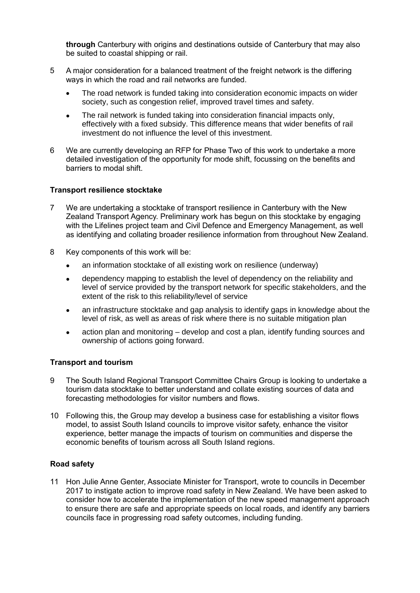**through** Canterbury with origins and destinations outside of Canterbury that may also be suited to coastal shipping or rail.

- 5 A major consideration for a balanced treatment of the freight network is the differing ways in which the road and rail networks are funded.
	- The road network is funded taking into consideration economic impacts on wider society, such as congestion relief, improved travel times and safety.
	- The rail network is funded taking into consideration financial impacts only, effectively with a fixed subsidy. This difference means that wider benefits of rail investment do not influence the level of this investment.
- 6 We are currently developing an RFP for Phase Two of this work to undertake a more detailed investigation of the opportunity for mode shift, focussing on the benefits and barriers to modal shift.

#### **Transport resilience stocktake**

- 7 We are undertaking a stocktake of transport resilience in Canterbury with the New Zealand Transport Agency. Preliminary work has begun on this stocktake by engaging with the Lifelines project team and Civil Defence and Emergency Management, as well as identifying and collating broader resilience information from throughout New Zealand.
- 8 Key components of this work will be:
	- an information stocktake of all existing work on resilience (underway)
	- dependency mapping to establish the level of dependency on the reliability and level of service provided by the transport network for specific stakeholders, and the extent of the risk to this reliability/level of service
	- an infrastructure stocktake and gap analysis to identify gaps in knowledge about the level of risk, as well as areas of risk where there is no suitable mitigation plan
	- action plan and monitoring develop and cost a plan, identify funding sources and ownership of actions going forward.

#### **Transport and tourism**

- 9 The South Island Regional Transport Committee Chairs Group is looking to undertake a tourism data stocktake to better understand and collate existing sources of data and forecasting methodologies for visitor numbers and flows.
- 10 Following this, the Group may develop a business case for establishing a visitor flows model, to assist South Island councils to improve visitor safety, enhance the visitor experience, better manage the impacts of tourism on communities and disperse the economic benefits of tourism across all South Island regions.

#### **Road safety**

11 Hon Julie Anne Genter, Associate Minister for Transport, wrote to councils in December 2017 to instigate action to improve road safety in New Zealand. We have been asked to consider how to accelerate the implementation of the new speed management approach to ensure there are safe and appropriate speeds on local roads, and identify any barriers councils face in progressing road safety outcomes, including funding.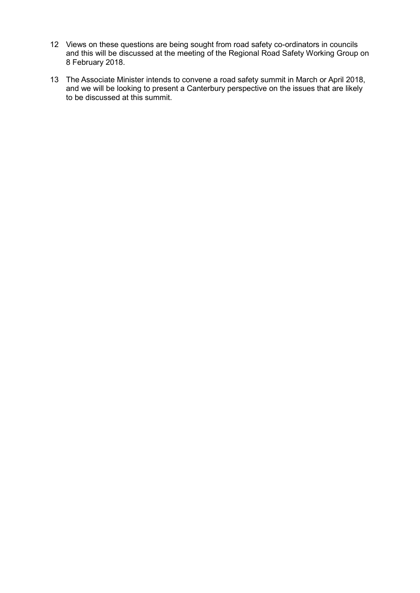- 12 Views on these questions are being sought from road safety co-ordinators in councils and this will be discussed at the meeting of the Regional Road Safety Working Group on 8 February 2018.
- 13 The Associate Minister intends to convene a road safety summit in March or April 2018, and we will be looking to present a Canterbury perspective on the issues that are likely to be discussed at this summit.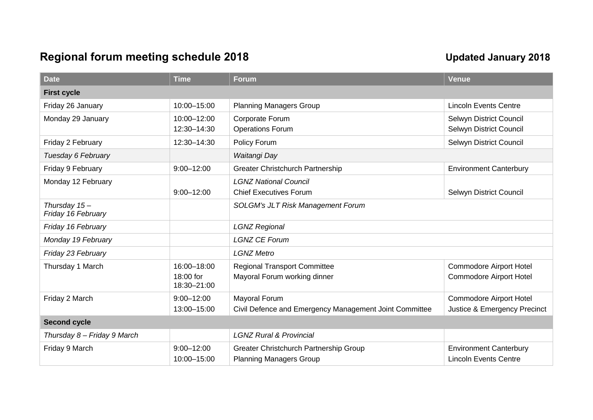## Regional forum meeting schedule 2018 and the Updated January 2018

| <b>Date</b>                          | <b>Time</b>              | <b>Forum</b>                                           | <b>Venue</b>                   |  |  |
|--------------------------------------|--------------------------|--------------------------------------------------------|--------------------------------|--|--|
| <b>First cycle</b>                   |                          |                                                        |                                |  |  |
| Friday 26 January                    | 10:00-15:00              | <b>Planning Managers Group</b>                         | <b>Lincoln Events Centre</b>   |  |  |
| Monday 29 January                    | 10:00-12:00              | Corporate Forum                                        | Selwyn District Council        |  |  |
|                                      | 12:30-14:30              | <b>Operations Forum</b>                                | Selwyn District Council        |  |  |
| Friday 2 February                    | 12:30-14:30              | Policy Forum                                           | Selwyn District Council        |  |  |
| Tuesday 6 February                   |                          | Waitangi Day                                           |                                |  |  |
| Friday 9 February                    | $9:00 - 12:00$           | Greater Christchurch Partnership                       | <b>Environment Canterbury</b>  |  |  |
| Monday 12 February                   |                          | <b>LGNZ National Council</b>                           |                                |  |  |
|                                      | $9:00 - 12:00$           | <b>Chief Executives Forum</b>                          | Selwyn District Council        |  |  |
| Thursday $15-$<br>Friday 16 February |                          | <b>SOLGM's JLT Risk Management Forum</b>               |                                |  |  |
| Friday 16 February                   |                          | <b>LGNZ Regional</b>                                   |                                |  |  |
| Monday 19 February                   |                          | <b>LGNZ CE Forum</b>                                   |                                |  |  |
| Friday 23 February                   |                          | <b>LGNZ Metro</b>                                      |                                |  |  |
| Thursday 1 March                     | 16:00-18:00              | <b>Regional Transport Committee</b>                    | <b>Commodore Airport Hotel</b> |  |  |
|                                      | 18:00 for<br>18:30-21:00 | Mayoral Forum working dinner                           | <b>Commodore Airport Hotel</b> |  |  |
| Friday 2 March                       | $9:00 - 12:00$           | Mayoral Forum                                          | <b>Commodore Airport Hotel</b> |  |  |
|                                      | 13:00-15:00              | Civil Defence and Emergency Management Joint Committee | Justice & Emergency Precinct   |  |  |
| <b>Second cycle</b>                  |                          |                                                        |                                |  |  |
| Thursday 8 - Friday 9 March          |                          | <b>LGNZ Rural &amp; Provincial</b>                     |                                |  |  |
| Friday 9 March                       | $9:00 - 12:00$           | Greater Christchurch Partnership Group                 | <b>Environment Canterbury</b>  |  |  |
|                                      | 10:00-15:00              | <b>Planning Managers Group</b>                         | <b>Lincoln Events Centre</b>   |  |  |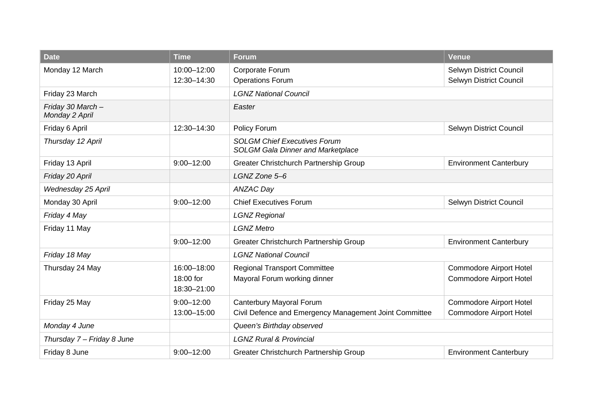| <b>Date</b>                         | <b>Time</b>              | <b>Forum</b>                                                                    | Venue                          |  |
|-------------------------------------|--------------------------|---------------------------------------------------------------------------------|--------------------------------|--|
| Monday 12 March                     | 10:00-12:00              | Corporate Forum                                                                 | Selwyn District Council        |  |
|                                     | 12:30-14:30              | <b>Operations Forum</b><br>Selwyn District Council                              |                                |  |
| Friday 23 March                     |                          | <b>LGNZ National Council</b>                                                    |                                |  |
| Friday 30 March -<br>Monday 2 April |                          | Easter                                                                          |                                |  |
| Friday 6 April                      | 12:30-14:30              | Policy Forum                                                                    | Selwyn District Council        |  |
| Thursday 12 April                   |                          | <b>SOLGM Chief Executives Forum</b><br><b>SOLGM Gala Dinner and Marketplace</b> |                                |  |
| Friday 13 April                     | $9:00 - 12:00$           | Greater Christchurch Partnership Group                                          | <b>Environment Canterbury</b>  |  |
| Friday 20 April                     |                          | LGNZ Zone 5-6                                                                   |                                |  |
| Wednesday 25 April                  |                          | <b>ANZAC Day</b>                                                                |                                |  |
| Monday 30 April                     | $9:00 - 12:00$           | <b>Chief Executives Forum</b><br>Selwyn District Council                        |                                |  |
| Friday 4 May                        |                          | <b>LGNZ Regional</b>                                                            |                                |  |
| Friday 11 May                       |                          | <b>LGNZ Metro</b>                                                               |                                |  |
|                                     | $9:00 - 12:00$           | Greater Christchurch Partnership Group                                          | <b>Environment Canterbury</b>  |  |
| Friday 18 May                       |                          | <b>LGNZ National Council</b>                                                    |                                |  |
| Thursday 24 May                     | 16:00-18:00              | <b>Regional Transport Committee</b>                                             | <b>Commodore Airport Hotel</b> |  |
|                                     | 18:00 for<br>18:30-21:00 | Mayoral Forum working dinner                                                    | <b>Commodore Airport Hotel</b> |  |
| Friday 25 May                       | $9:00 - 12:00$           | Canterbury Mayoral Forum                                                        | <b>Commodore Airport Hotel</b> |  |
|                                     | 13:00-15:00              | Civil Defence and Emergency Management Joint Committee                          | <b>Commodore Airport Hotel</b> |  |
| Monday 4 June                       |                          | Queen's Birthday observed                                                       |                                |  |
| Thursday 7 - Friday 8 June          |                          | <b>LGNZ Rural &amp; Provincial</b>                                              |                                |  |
| Friday 8 June                       | $9:00 - 12:00$           | Greater Christchurch Partnership Group                                          | <b>Environment Canterbury</b>  |  |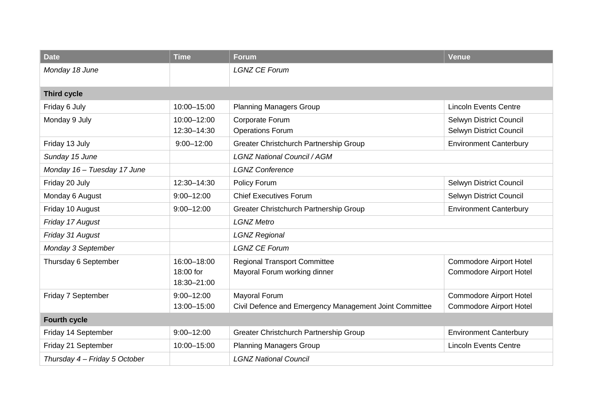| <b>Date</b>                   | <b>Time</b>                             | <b>Forum</b>                                                            | Venue                                                            |
|-------------------------------|-----------------------------------------|-------------------------------------------------------------------------|------------------------------------------------------------------|
| Monday 18 June                |                                         | <b>LGNZ CE Forum</b>                                                    |                                                                  |
| <b>Third cycle</b>            |                                         |                                                                         |                                                                  |
| Friday 6 July                 | 10:00-15:00                             | <b>Planning Managers Group</b>                                          | <b>Lincoln Events Centre</b>                                     |
| Monday 9 July                 | 10:00-12:00<br>12:30-14:30              | Corporate Forum<br><b>Operations Forum</b>                              | Selwyn District Council<br>Selwyn District Council               |
| Friday 13 July                | $9:00 - 12:00$                          | Greater Christchurch Partnership Group                                  | <b>Environment Canterbury</b>                                    |
| Sunday 15 June                |                                         | <b>LGNZ National Council / AGM</b>                                      |                                                                  |
| Monday 16 - Tuesday 17 June   |                                         | <b>LGNZ Conference</b>                                                  |                                                                  |
| Friday 20 July                | 12:30-14:30                             | Policy Forum                                                            | Selwyn District Council                                          |
| Monday 6 August               | $9:00 - 12:00$                          | <b>Chief Executives Forum</b>                                           | Selwyn District Council                                          |
| Friday 10 August              | $9:00 - 12:00$                          | Greater Christchurch Partnership Group                                  | <b>Environment Canterbury</b>                                    |
| Friday 17 August              |                                         | <b>LGNZ Metro</b>                                                       |                                                                  |
| Friday 31 August              |                                         | <b>LGNZ Regional</b>                                                    |                                                                  |
| Monday 3 September            |                                         | <b>LGNZ CE Forum</b>                                                    |                                                                  |
| Thursday 6 September          | 16:00-18:00<br>18:00 for<br>18:30-21:00 | <b>Regional Transport Committee</b><br>Mayoral Forum working dinner     | <b>Commodore Airport Hotel</b><br><b>Commodore Airport Hotel</b> |
| Friday 7 September            | $9:00 - 12:00$<br>13:00-15:00           | Mayoral Forum<br>Civil Defence and Emergency Management Joint Committee | <b>Commodore Airport Hotel</b><br><b>Commodore Airport Hotel</b> |
| <b>Fourth cycle</b>           |                                         |                                                                         |                                                                  |
| Friday 14 September           | $9:00 - 12:00$                          | Greater Christchurch Partnership Group                                  | <b>Environment Canterbury</b>                                    |
| Friday 21 September           | 10:00-15:00                             | <b>Planning Managers Group</b>                                          | <b>Lincoln Events Centre</b>                                     |
| Thursday 4 - Friday 5 October |                                         | <b>LGNZ National Council</b>                                            |                                                                  |